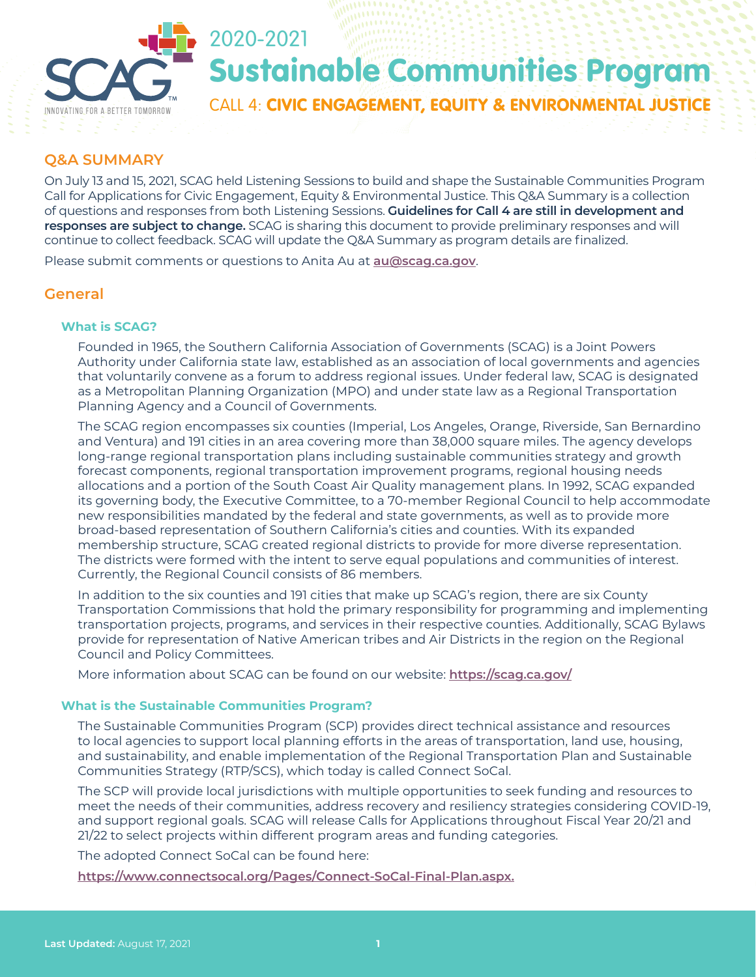

# Sustainable Communities Program

CALL 4: CIVIC ENGAGEMENT, EQUITY & ENVIRONMENTAL JUSTICE

## **Q&A SUMMARY**

On July 13 and 15, 2021, SCAG held Listening Sessions to build and shape the Sustainable Communities Program Call for Applications for Civic Engagement, Equity & Environmental Justice. This Q&A Summary is a collection of questions and responses from both Listening Sessions. **Guidelines for Call 4 are still in development and responses are subject to change.** SCAG is sharing this document to provide preliminary responses and will continue to collect feedback. SCAG will update the Q&A Summary as program details are finalized.

Please submit comments or questions to Anita Au at **[au@scag.ca.gov](mailto:au@scag.ca.gov)**.

## **General**

#### **What is SCAG?**

Founded in 1965, the Southern California Association of Governments (SCAG) is a Joint Powers Authority under California state law, established as an association of local governments and agencies that voluntarily convene as a forum to address regional issues. Under federal law, SCAG is designated as a Metropolitan Planning Organization (MPO) and under state law as a Regional Transportation Planning Agency and a Council of Governments.

The SCAG region encompasses six counties (Imperial, Los Angeles, Orange, Riverside, San Bernardino and Ventura) and 191 cities in an area covering more than 38,000 square miles. The agency develops long-range regional transportation plans including sustainable communities strategy and growth forecast components, regional transportation improvement programs, regional housing needs allocations and a portion of the South Coast Air Quality management plans. In 1992, SCAG expanded its governing body, the Executive Committee, to a 70-member Regional Council to help accommodate new responsibilities mandated by the federal and state governments, as well as to provide more broad-based representation of Southern California's cities and counties. With its expanded membership structure, SCAG created regional districts to provide for more diverse representation. The districts were formed with the intent to serve equal populations and communities of interest. Currently, the Regional Council consists of 86 members.

In addition to the six counties and 191 cities that make up SCAG's region, there are six County Transportation Commissions that hold the primary responsibility for programming and implementing transportation projects, programs, and services in their respective counties. Additionally, SCAG Bylaws provide for representation of Native American tribes and Air Districts in the region on the Regional Council and Policy Committees.

More information about SCAG can be found on our website: **<https://scag.ca.gov/>**

#### **What is the Sustainable Communities Program?**

The Sustainable Communities Program (SCP) provides direct technical assistance and resources to local agencies to support local planning efforts in the areas of transportation, land use, housing, and sustainability, and enable implementation of the Regional Transportation Plan and Sustainable Communities Strategy (RTP/SCS), which today is called Connect SoCal.

The SCP will provide local jurisdictions with multiple opportunities to seek funding and resources to meet the needs of their communities, address recovery and resiliency strategies considering COVID-19, and support regional goals. SCAG will release Calls for Applications throughout Fiscal Year 20/21 and 21/22 to select projects within different program areas and funding categories.

The adopted Connect SoCal can be found here:

**[https://www.connectsocal.org/Pages/Connect-SoCal-Final-Plan.aspx.](https://www.connectsocal.org/Pages/Connect-SoCal-Final-Plan.aspx)**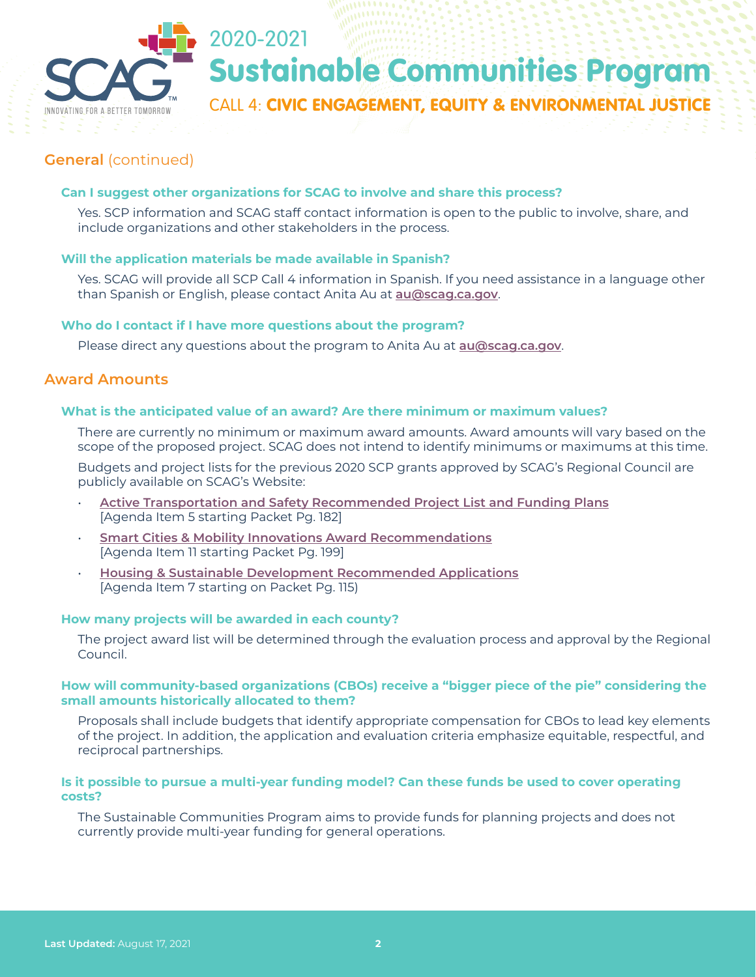

# Sustainable Communities Program

CALL 4: CIVIC ENGAGEMENT, EQUITY & ENVIRONMENTAL JUSTICE

# **General** (continued)

#### **Can I suggest other organizations for SCAG to involve and share this process?**

Yes. SCP information and SCAG staff contact information is open to the public to involve, share, and include organizations and other stakeholders in the process.

### **Will the application materials be made available in Spanish?**

2020-2021

Yes. SCAG will provide all SCP Call 4 information in Spanish. If you need assistance in a language other than Spanish or English, please contact Anita Au at **[au@scag.ca.gov](mailto:au@scag.ca.gov)**.

#### **Who do I contact if I have more questions about the program?**

Please direct any questions about the program to Anita Au at **[au@scag.ca.gov](mailto:au@scag.ca.gov)**.

## **Award Amounts**

#### **What is the anticipated value of an award? Are there minimum or maximum values?**

There are currently no minimum or maximum award amounts. Award amounts will vary based on the scope of the proposed project. SCAG does not intend to identify minimums or maximums at this time.

Budgets and project lists for the previous 2020 SCP grants approved by SCAG's Regional Council are publicly available on SCAG's Website:

- **[Active Transportation and Safety Recommended Project List and Funding Plans](https://scag.ca.gov/sites/main/files/file-attachments/rc050621fullpacket.pdf?1619749458)** [Agenda Item 5 starting Packet Pg. 182]
- **[Smart Cities & Mobility Innovations Award Recommendations](https://scag.ca.gov/sites/main/files/file-attachments/rc070121fullpacket.pdf?1624654651)** [Agenda Item 11 starting Packet Pg. 199]
- **[Housing & Sustainable Development Recommended Applications](https://scag.ca.gov/sites/main/files/file-attachments/rc040121fullpacket.pdf?1616728114)** [Agenda Item 7 starting on Packet Pg. 115)

#### **How many projects will be awarded in each county?**

The project award list will be determined through the evaluation process and approval by the Regional Council.

#### **How will community-based organizations (CBOs) receive a "bigger piece of the pie" considering the small amounts historically allocated to them?**

Proposals shall include budgets that identify appropriate compensation for CBOs to lead key elements of the project. In addition, the application and evaluation criteria emphasize equitable, respectful, and reciprocal partnerships.

#### **Is it possible to pursue a multi-year funding model? Can these funds be used to cover operating costs?**

The Sustainable Communities Program aims to provide funds for planning projects and does not currently provide multi-year funding for general operations.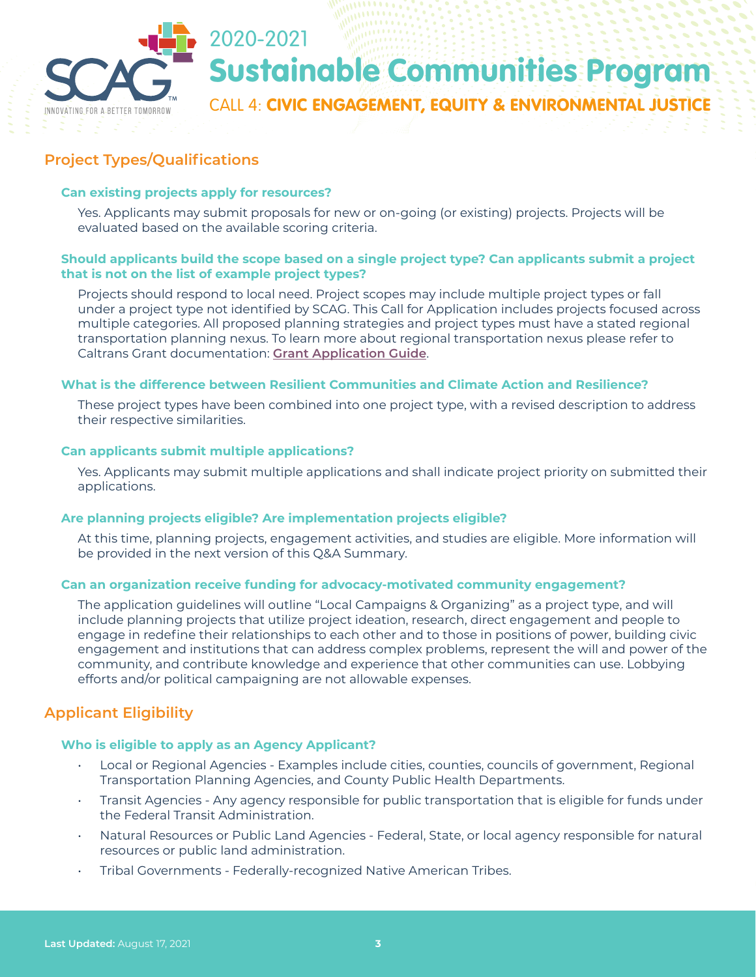

# **Project Types/Qualifications**

#### **Can existing projects apply for resources?**

Yes. Applicants may submit proposals for new or on-going (or existing) projects. Projects will be evaluated based on the available scoring criteria.

#### **Should applicants build the scope based on a single project type? Can applicants submit a project that is not on the list of example project types?**

Projects should respond to local need. Project scopes may include multiple project types or fall under a project type not identified by SCAG. This Call for Application includes projects focused across multiple categories. All proposed planning strategies and project types must have a stated regional transportation planning nexus. To learn more about regional transportation nexus please refer to Caltrans Grant documentation: **[Grant Application Guide](https://dot.ca.gov/-/media/dot-media/programs/transportation-planning/documents/final-fy-21-22_stp-grant-application-guide.pdf)**.

#### **What is the difference between Resilient Communities and Climate Action and Resilience?**

These project types have been combined into one project type, with a revised description to address their respective similarities.

#### **Can applicants submit multiple applications?**

Yes. Applicants may submit multiple applications and shall indicate project priority on submitted their applications.

#### **Are planning projects eligible? Are implementation projects eligible?**

At this time, planning projects, engagement activities, and studies are eligible. More information will be provided in the next version of this Q&A Summary.

#### **Can an organization receive funding for advocacy-motivated community engagement?**

The application guidelines will outline "Local Campaigns & Organizing" as a project type, and will include planning projects that utilize project ideation, research, direct engagement and people to engage in redefine their relationships to each other and to those in positions of power, building civic engagement and institutions that can address complex problems, represent the will and power of the community, and contribute knowledge and experience that other communities can use. Lobbying efforts and/or political campaigning are not allowable expenses.

# **Applicant Eligibility**

#### **Who is eligible to apply as an Agency Applicant?**

- Local or Regional Agencies Examples include cities, counties, councils of government, Regional Transportation Planning Agencies, and County Public Health Departments.
- Transit Agencies Any agency responsible for public transportation that is eligible for funds under the Federal Transit Administration.
- Natural Resources or Public Land Agencies Federal, State, or local agency responsible for natural resources or public land administration.
- Tribal Governments Federally-recognized Native American Tribes.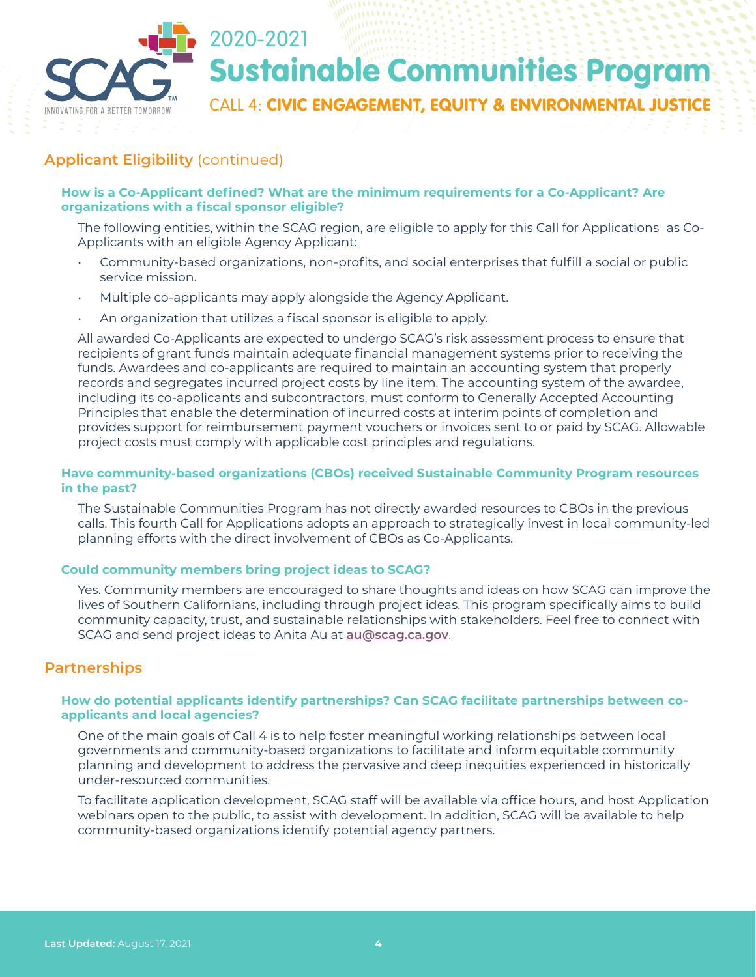

# **Applicant Eligibility** (continued)

#### **How is a Co-Applicant defined? What are the minimum requirements for a Co-Applicant? Are organizations with a fiscal sponsor eligible?**

The following entities, within the SCAG region, are eligible to apply for this Call for Applications as Co-Applicants with an eligible Agency Applicant:

- Community-based organizations, non-profits, and social enterprises that fulfill a social or public service mission.
- Multiple co-applicants may apply alongside the Agency Applicant.
- An organization that utilizes a fiscal sponsor is eligible to apply.

All awarded Co-Applicants are expected to undergo SCAG's risk assessment process to ensure that recipients of grant funds maintain adequate financial management systems prior to receiving the funds. Awardees and co-applicants are required to maintain an accounting system that properly records and segregates incurred project costs by line item. The accounting system of the awardee, including its co-applicants and subcontractors, must conform to Generally Accepted Accounting Principles that enable the determination of incurred costs at interim points of completion and provides support for reimbursement payment vouchers or invoices sent to or paid by SCAG. Allowable project costs must comply with applicable cost principles and regulations.

#### **Have community-based organizations (CBOs) received Sustainable Community Program resources in the past?**

The Sustainable Communities Program has not directly awarded resources to CBOs in the previous calls. This fourth Call for Applications adopts an approach to strategically invest in local community-led planning efforts with the direct involvement of CBOs as Co-Applicants.

#### **Could community members bring project ideas to SCAG?**

Yes. Community members are encouraged to share thoughts and ideas on how SCAG can improve the lives of Southern Californians, including through project ideas. This program specifically aims to build community capacity, trust, and sustainable relationships with stakeholders. Feel free to connect with SCAG and send project ideas to Anita Au at **[au@scag.ca.gov](mailto:au@scag.ca.gov)**.

## **Partnerships**

#### **How do potential applicants identify partnerships? Can SCAG facilitate partnerships between coapplicants and local agencies?**

One of the main goals of Call 4 is to help foster meaningful working relationships between local governments and community-based organizations to facilitate and inform equitable community planning and development to address the pervasive and deep inequities experienced in historically under-resourced communities.

To facilitate application development, SCAG staff will be available via office hours, and host Application webinars open to the public, to assist with development. In addition, SCAG will be available to help community-based organizations identify potential agency partners.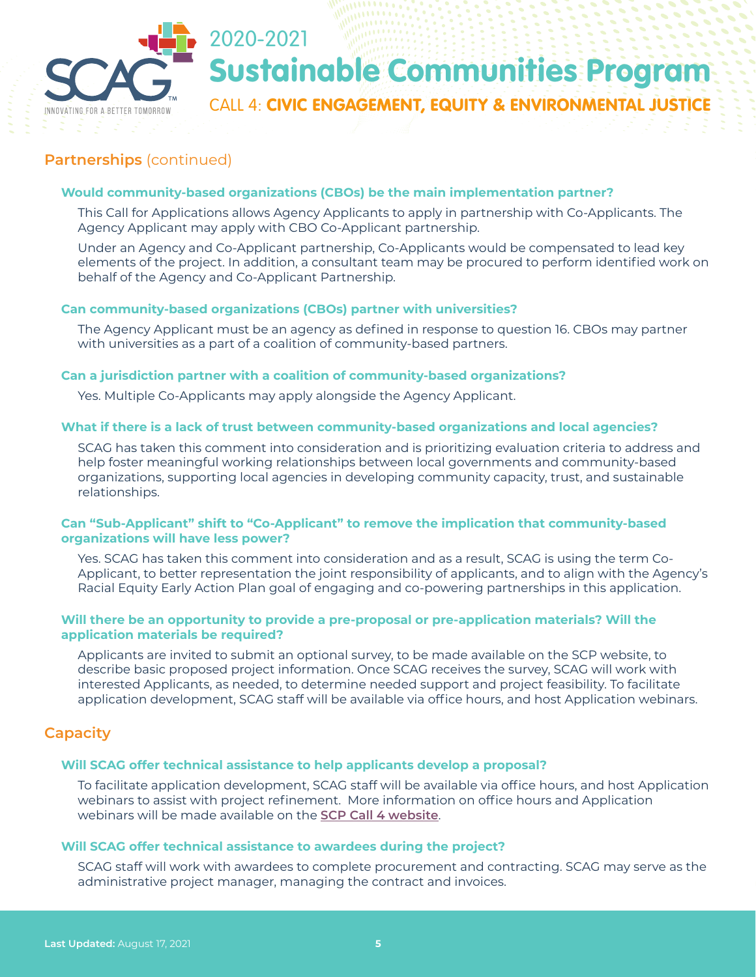

## **Partnerships** (continued)

#### **Would community-based organizations (CBOs) be the main implementation partner?**

This Call for Applications allows Agency Applicants to apply in partnership with Co-Applicants. The Agency Applicant may apply with CBO Co-Applicant partnership.

Under an Agency and Co-Applicant partnership, Co-Applicants would be compensated to lead key elements of the project. In addition, a consultant team may be procured to perform identified work on behalf of the Agency and Co-Applicant Partnership.

#### **Can community-based organizations (CBOs) partner with universities?**

The Agency Applicant must be an agency as defined in response to question 16. CBOs may partner with universities as a part of a coalition of community-based partners.

#### **Can a jurisdiction partner with a coalition of community-based organizations?**

Yes. Multiple Co-Applicants may apply alongside the Agency Applicant.

#### **What if there is a lack of trust between community-based organizations and local agencies?**

SCAG has taken this comment into consideration and is prioritizing evaluation criteria to address and help foster meaningful working relationships between local governments and community-based organizations, supporting local agencies in developing community capacity, trust, and sustainable relationships.

#### **Can "Sub-Applicant" shift to "Co-Applicant" to remove the implication that community-based organizations will have less power?**

Yes. SCAG has taken this comment into consideration and as a result, SCAG is using the term Co-Applicant, to better representation the joint responsibility of applicants, and to align with the Agency's Racial Equity Early Action Plan goal of engaging and co-powering partnerships in this application.

#### **Will there be an opportunity to provide a pre-proposal or pre-application materials? Will the application materials be required?**

Applicants are invited to submit an optional survey, to be made available on the SCP website, to describe basic proposed project information. Once SCAG receives the survey, SCAG will work with interested Applicants, as needed, to determine needed support and project feasibility. To facilitate application development, SCAG staff will be available via office hours, and host Application webinars.

### **Capacity**

#### **Will SCAG offer technical assistance to help applicants develop a proposal?**

To facilitate application development, SCAG staff will be available via office hours, and host Application webinars to assist with project refinement. More information on office hours and Application webinars will be made available on the **[SCP Call 4 website](https://scag.ca.gov/post/civic-engagement-equity-environmental-justice-3)**.

#### **Will SCAG offer technical assistance to awardees during the project?**

SCAG staff will work with awardees to complete procurement and contracting. SCAG may serve as the administrative project manager, managing the contract and invoices.